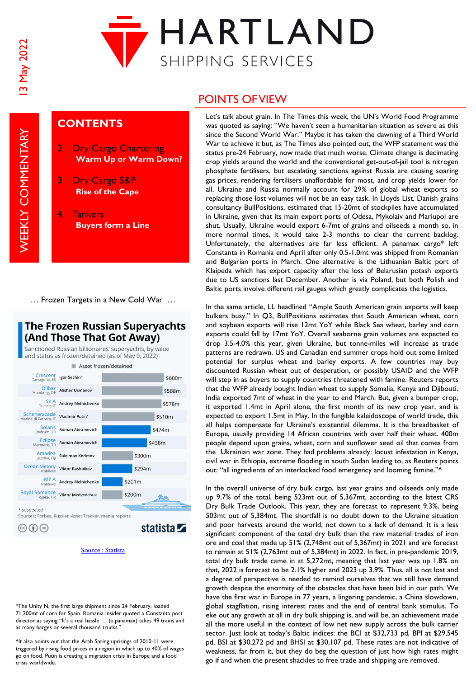

# **CONTENTS**

- **Dry Cargo Chartering Warm Up or Warm Down?**
- 3. Dry Cargo S&P **Rise of the Cape**
- 4. Tankers **Buyers form a Line**

… Frozen Targets in a New Cold War …

## The Frozen Russian Superyachts (And Those That Got Away)

Sanctioned Russian billionaires' supervachts, by value and status as frozen/detained (as of May 9, 2022)



#### [Source : Statista](https://www.statista.com/)

\*The Unity N, the first large shipment since 24 February, loaded 71,200mt of corn for Spain. Romania Insider quoted a Constanta port director as saying "It's a real hassle … (a panamax) takes 49 trains and as many barges or several thousand trucks.'

^It also points out that the Arab Spring uprisings of 2010-11 were triggered by rising food prices in a region in which up to 40% of wages go on food. Putin is creating a migration crisis in Europe and a food crisis worldwide.

## POINTS OF VIEW

Let's talk about grain. In The Times this week, the UN's World Food Programme was quoted as saying: "We haven't seen a humanitarian situation as severe as this since the Second World War." Maybe it has taken the dawning of a Third World War to achieve it but, as The Times also pointed out, the WFP statement was the status pre-24 February, now made that much worse. Climate change is decimating crop yields around the world and the conventional get-out-of-jail tool is nitrogen phosphate fertilisers, but escalating sanctions against Russia are causing soaring gas prices, rendering fertilisers unaffordable for most, and crop yields lower for all. Ukraine and Russia normally account for 29% of global wheat exports so replacing those lost volumes will not be an easy task. In Lloyds List, Danish grains consultancy BullPositions, estimated that 15-20mt of stockpiles have accumulated in Ukraine, given that its main export ports of Odesa, Mykolaiv and Mariupol are shut. Usually, Ukraine would export 6-7mt of grains and oilseeds a month so, in more normal times, it would take 2-3 months to clear the current backlog. Unfortunately, the alternatives are far less efficient. A panamax cargo\* left Constanta in Romania end April after only 0.5-1.0mt was shipped from Romanian and Bulgarian ports in March. One alternative is the Lithuanian Baltic port of Klaipeda which has export capacity after the loss of Belarusian potash exports due to US sanctions last December. Another is via Poland, but both Polish and Baltic ports involve different rail gauges which greatly complicates the logistics.

In the same article, LL headlined "Ample South American grain exports will keep bulkers busy." In Q3, BullPositions estimates that South American wheat, corn and soybean exports will rise 12mt YoY while Black Sea wheat, barley and corn exports could fall by 17mt YoY. Overall seaborne grain volumes are expected to drop 3.5-4.0% this year, given Ukraine, but tonne-miles will increase as trade patterns are redrawn. US and Canadian end summer crops hold out some limited potential for surplus wheat and barley exports. A few countries may buy discounted Russian wheat out of desperation, or possibly USAID and the WFP will step in as buyers to supply countries threatened with famine. Reuters reports that the WFP already bought Indian wheat to supply Somalia, Kenya and Djibouti. India exported 7mt of wheat in the year to end March. But, given a bumper crop, it exported 1.4mt in April alone, the first month of its new crop year, and is expected to export 1.5mt in May. In the fungible kaleidoscope of world trade, this all helps compensate for Ukraine's existential dilemma. It is the breadbasket of Europe, usually providing 14 African countries with over half their wheat. 400m people depend upon grains, wheat, corn and sunflower seed oil that comes from the Ukrainian war zone. They had problems already: locust infestation in Kenya, civil war in Ethiopia, extreme flooding in south Sudan leading to, as Reuters points out: "all ingredients of an interlocked food emergency and looming famine."^

In the overall universe of dry bulk cargo, last year grains and oilseeds only made up 9.7% of the total, being 523mt out of 5,367mt, according to the latest CRS Dry Bulk Trade Outlook. This year, they are forecast to represent 9.3%, being 503mt out of 5,384mt. The shortfall is no doubt down to the Ukraine situation and poor harvests around the world, not down to a lack of demand. It is a less significant component of the total dry bulk than the raw material trades of iron ore and coal that made up 51% (2,748mt out of 5,367mt) in 2021 and are forecast to remain at 51% (2,763mt out of 5,384mt) in 2022. In fact, in pre-pandemic 2019, total dry bulk trade came in at 5,272mt, meaning that last year was up 1.8% on that, 2022 is forecast to be 2.1% higher and 2023 up 3.9%. Thus, all is not lost and a degree of perspective is needed to remind ourselves that we still have demand growth despite the enormity of the obstacles that have been laid in our path. We have the first war in Europe in 77 years, a lingering pandemic, a China slowdown, global stagflation, rising interest rates and the end of central bank stimulus. To eke out any growth at all in dry bulk shipping is, and will be, an achievement made all the more useful in the context of low net new supply across the bulk carrier sector. Just look at today's Baltic indices: the BCI at \$32,733 pd, BPI at \$29,545 pd, BSI at \$30,272 pd and BHSI at \$30,107 pd. These rates are not indicative of weakness, far from it, but they do beg the question of just how high rates might go if and when the present shackles to free trade and shipping are removed.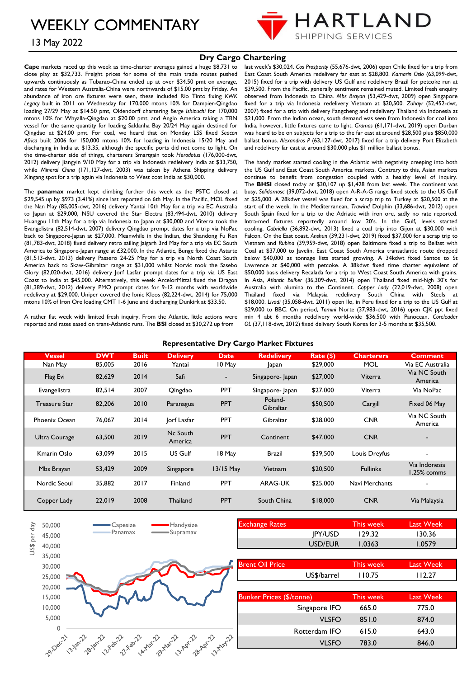WEEKLY COMMENTARY



## 13 May 2022

#### **Dry Cargo Chartering**

**Cape** markets raced up this week as time-charter averages gained a huge \$8,731 to close play at \$32,733. Freight prices for some of the main trade routes pushed upwards continuously as Tubarao-China ended up at over \$34.50 pmt on average, and rates for Western Australia-China were northwards of \$15.00 pmt by Friday. An abundance of iron ore fixtures were seen, these included Rio Tinto fixing *KWK Legacy* built in 2011 on Wednesday for 170,000 mtons 10% for Dampier-Qingdao loading 27/29 May at \$14.50 pmt, Oldendorff chartering *Berge Ishizuchi* for 170,000 mtons 10% for Whyalla-Qingdao at \$20.00 pmt, and Anglo America taking a TBN vessel for the same quantity for loading Saldanha Bay 20/24 May again destined for Qingdao at \$24.00 pmt. For coal, we heard that on Monday LSS fixed *Seacon Africa* built 2006 for 150,000 mtons 10% for loading in Indonesia 15/20 May and discharging in India at \$13.35, although the specific ports did not come to light. On the time-charter side of things, charterers Smartgain took *Herodotus* (176,000-dwt, 2012) delivery Jiangyin 9/10 May for a trip via Indonesia redleivery India at \$33,750, while *Mineral China* (171,127-dwt, 2003) was taken by Athena Shipping delivery Xingang spot for a trip again via Indonesia to West coat India at \$30,000.

The **panamax** market kept climbing further this week as the P5TC closed at \$29,545 up by \$973 (3.41%) since last reported on 6th May. In the Pacific, MOL fixed the Nan May (85,005-dwt, 2016) delivery Yantai 10th May for a trip via EC Australia to Japan at \$29,000, NSU covered the Star Electra (83,494-dwt, 2010) delivery Huangpu 11th May for a trip via Indonesia to Japan at \$30,000 and Viterra took the Evangelistra (82,514-dwt, 2007) delivery Qingdao prompt dates for a trip via NoPac back to Singapore-Japan at \$27,000. Meanwhile in the Indian, the Shandong Fu Ren (81,783-dwt, 2018) fixed delivery retro sailing Jaigarh 3rd May for a trip via EC South America to Singapore-Japan range at £32,000. In the Atlantic, Bunge fixed the Astarte (81,513-dwt, 2013) delivery Passero 24-25 May for a trip via North Coast South America back to Skaw-Gibraltar range at \$31,000 whilst Norvic took the Sasebo Glory (82,020-dwt, 2016) delivery Jorf Lasfar prompt dates for a trip via US East Coast to India at \$45,000. Alternatively, this week ArcelorMittal fixed the Dragon (81,389-dwt, 2012) delivery PMO prompt dates for 9-12 months with worldwide redelivery at \$29,000. Uniper covered the Ionic Kleos (82,224-dwt, 2014) for 75,000 mtons 10% of Iron Ore loading CMT 1-6 June and discharging Dunkirk at \$33.50.

A rather flat week with limited fresh inquiry. From the Atlantic, little actions were reported and rates eased on trans-Atlantic runs. The **BSI** closed at \$30,272 up from

last week's \$30,024. *Cos Prosperity* (55,676-dwt, 2006) open Chile fixed for a trip from East Coast South America redelivery far east at \$28,800. *Kamarin Oslo* (63,099-dwt, 2015) fixed for a trip with delivery US Gulf and redelivery Brazil for petcoke run at \$39,500. From the Pacific, generally sentiment remained muted. Limited fresh enquiry observed from Indonesia to China*. Mbs Brayan* (53,429-dwt, 2009) open Singapore fixed for a trip via Indonesia redelivery Vietnam at \$20,500. *Zuhayr* (52,452-dwt, 2007) fixed for a trip with delivery Fangcheng and redelivery Thailand via Indonesia at \$21,000. From the Indian ocean, south demand was seen from Indonesia for coal into India, however, little fixtures came to light. *Gramos* (61,171-dwt, 2019) open Durban was heard to be on subjects for a trip to the far east at around \$28,500 plus \$850,000 ballast bonus. *Alexandros P* (63,127-dwt, 2017) fixed for a trip delivery Port Elizabeth and redelivery far east at around \$30,000 plus \$1 million ballast bonus.

The handy market started cooling in the Atlantic with negativity creeping into both the US Gulf and East Coast South America markets. Contrary to this, Asian markets continue to benefit from congestion coupled with a healthy level of inquiry. The **BHSI** closed today at \$30,107 up \$1,428 from last week. The continent was busy, *Solidarnosc* (39,072-dwt, 2018) open A-R-A-G range fixed steels to the US Gulf at \$25,000. A 28kdwt vessel was fixed for a scrap trip to Turkey at \$20,500 at the start of the week. In the Mediterranean, *Trawind* Dolphin (33,686-dwt, 2012) open South Spain fixed for a trip to the Adriatic with iron ore, sadly no rate reported. Intra-med fixtures reportedly around low 20's. In the Gulf, levels started cooling, *Gabriella* (36,892-dwt, 2013) fixed a coal trip into Gijon at \$30,000 with Falcon. On the East coast, *Anshun* (39,231-dwt, 2019) fixed \$37,000 for a scrap trip to Vietnam and *Rubina* (39,959-dwt, 2018) open Baltimore fixed a trip to Belfast with Coal at \$37,000 to Javelin. East Coast South America transatlantic route dropped below \$40,000 as tonnage lists started growing. A 34kdwt fixed Santos to St Lawrence at \$40,000 with petcoke. A 38kdwt fixed time charter equivalent of \$50,000 basis delivery Recalada for a trip to West Coast South America with grains. In Asia, *Atlantic Bulker* (36,309-dwt, 2014) open Thailand fixed mid-high 30's for Australia with alumina to the Continent. *Copper Lady* (22,019-dwt, 2008) open Thailand fixed via Malaysia redelivery South China with Steels at \$18,000. *Livadi* (35,058-dwt, 2011) open Ilo, in Peru fixed for a trip to the US Gulf at \$29,000 to BBC. On period, *Tomini* Norte (37,983-dwt, 2016) open CJK ppt fixed min 4 abt 6 months redelivery world-wide \$36,500 with Panocean. *Coreleader OL* (37,118-dwt, 2012) fixed delivery South Korea for 3-5 months at \$35,500.

#### **Representative Dry Cargo Market Fixtures**

| <b>Vessel</b> | <b>DWT</b> | <b>Built</b> | <b>Delivery</b>     | <b>Date</b>              | <b>Redelivery</b>    | Rate (\$) | <b>Charterers</b> | <b>Comment</b>               |
|---------------|------------|--------------|---------------------|--------------------------|----------------------|-----------|-------------------|------------------------------|
| Nan May       | 85,005     | 2016         | Yantai              | 10 May                   | Japan                | \$29,000  | <b>MOL</b>        | Via EC Australia             |
| Flag Evi      | 82,629     | 2014         | Safi                | $\overline{\phantom{0}}$ | Singapore-Japan      | \$27,000  | Viterra           | Via NC South<br>America      |
| Evangelistra  | 82,514     | 2007         | Qingdao             | <b>PPT</b>               | Singapore-Japan      | \$27,000  | Viterra           | Via NoPac                    |
| Treasure Star | 82,206     | 2010         | Paranagua           | <b>PPT</b>               | Poland-<br>Gibraltar | \$50,500  | Cargill           | Fixed 06 May                 |
| Phoenix Ocean | 76,067     | 2014         | Jorf Lasfar         | <b>PPT</b>               | Gibraltar            | \$28,000  | <b>CNR</b>        | Via NC South<br>America      |
| Ultra Courage | 63,500     | 2019         | Nc South<br>America | PPT                      | Continent            | \$47,000  | <b>CNR</b>        | $\overline{\phantom{a}}$     |
| Kmarin Oslo   | 63,099     | 2015         | US Gulf             | 18 May                   | <b>Brazil</b>        | \$39,500  | Louis Dreyfus     | $\overline{\phantom{a}}$     |
| Mbs Brayan    | 53,429     | 2009         | Singapore           | 13/15 May                | Vietnam              | \$20,500  | <b>Fullinks</b>   | Via Indonesia<br>1.25% comms |
| Nordic Seoul  | 35,882     | 2017         | Finland             | <b>PPT</b>               | ARAG-UK              | \$25,000  | Navi Merchants    | $\overline{\phantom{a}}$     |
| Copper Lady   | 22,019     | 2008         | <b>Thailand</b>     | <b>PPT</b>               | South China          | \$18,000  | <b>CNR</b>        | Via Malaysia                 |

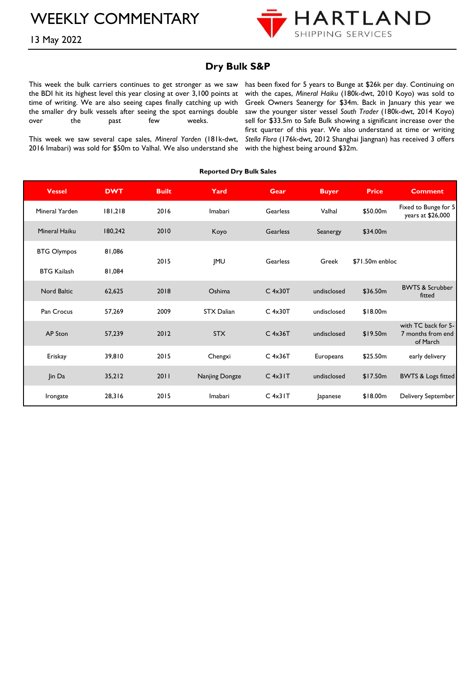# WEEKLY COMMENTARY



13 May 2022

## **Dry Bulk S&P**

This week the bulk carriers continues to get stronger as we saw the BDI hit its highest level this year closing at over 3,100 points at time of writing. We are also seeing capes finally catching up with the smaller dry bulk vessels after seeing the spot earnings double over the past few weeks.

This week we saw several cape sales, *Mineral Yarden* (181k-dwt, 2016 Imabari) was sold for \$50m to Valhal. We also understand she with the highest being around \$32m.

has been fixed for 5 years to Bunge at \$26k per day. Continuing on with the capes, *Mineral Haiku* (180k-dwt, 2010 Koyo) was sold to Greek Owners Seanergy for \$34m. Back in January this year we saw the younger sister vessel *South Trader* (180k-dwt, 2014 Koyo) sell for \$33.5m to Safe Bulk showing a significant increase over the first quarter of this year. We also understand at time or writing *Stella Flora* (176k-dwt, 2012 Shanghai Jiangnan) has received 3 offers

#### **Reported Dry Bulk Sales**

| <b>Vessel</b>        | <b>DWT</b> | <b>Built</b> | Yard              | <b>Gear</b>     | <b>Buyer</b> | <b>Price</b>    | <b>Comment</b>                                       |
|----------------------|------------|--------------|-------------------|-----------------|--------------|-----------------|------------------------------------------------------|
| Mineral Yarden       | 181,218    | 2016         | Imabari           | Gearless        | Valhal       | \$50.00m        | Fixed to Bunge for 5<br>years at \$26,000            |
| <b>Mineral Haiku</b> | 180,242    | 2010         | Koyo              | <b>Gearless</b> | Seanergy     | \$34.00m        |                                                      |
| <b>BTG Olympos</b>   | 81,086     | 2015         |                   | Gearless        | Greek        | \$71.50m enbloc |                                                      |
| <b>BTG Kailash</b>   | 81,084     |              | <b>IMU</b>        |                 |              |                 |                                                      |
| <b>Nord Baltic</b>   | 62,625     | 2018         | Oshima            | $C$ 4x30T       | undisclosed  | \$36.50m        | <b>BWTS &amp; Scrubber</b><br>fitted                 |
| Pan Crocus           | 57,269     | 2009         | <b>STX Dalian</b> | $C$ 4x30T       | undisclosed  | \$18.00m        |                                                      |
| <b>AP Ston</b>       | 57,239     | 2012         | <b>STX</b>        | $C$ 4x36T       | undisclosed  | \$19.50m        | with TC back for 5-<br>7 months from end<br>of March |
| Eriskay              | 39,810     | 2015         | Chengxi           | $C$ 4x36T       | Europeans    | \$25.50m        | early delivery                                       |
| Jin Da               | 35,212     | 2011         | Nanjing Dongze    | $C$ 4x31 $T$    | undisclosed  | \$17.50m        | <b>BWTS &amp; Logs fitted</b>                        |
| Irongate             | 28,316     | 2015         | Imabari           | $C$ 4x31 $T$    | Japanese     | \$18,00m        | Delivery September                                   |